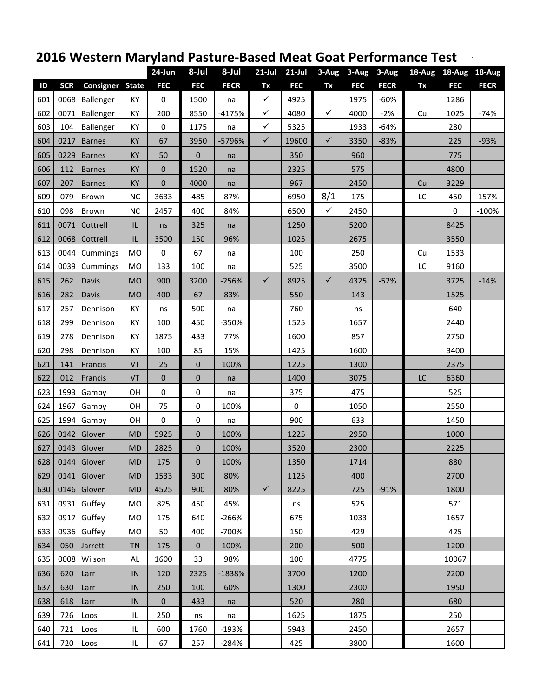## **2016 Western Maryland Pasture‐Based Meat Goat Performance Test** `

|     |            |               |              | 24-Jun       | 8-Jul            | 8-Jul       | $21$ -Jul    | $21$ -Jul  |              | 3-Aug 3-Aug | 3-Aug       |    | 18-Aug 18-Aug 18-Aug |             |
|-----|------------|---------------|--------------|--------------|------------------|-------------|--------------|------------|--------------|-------------|-------------|----|----------------------|-------------|
| ID  | <b>SCR</b> | Consigner     | <b>State</b> | <b>FEC</b>   | <b>FEC</b>       | <b>FECR</b> | Tx           | <b>FEC</b> | Tx           | <b>FEC</b>  | <b>FECR</b> | Tx | <b>FEC</b>           | <b>FECR</b> |
| 601 | 0068       | Ballenger     | KY           | 0            | 1500             | na          | $\checkmark$ | 4925       |              | 1975        | $-60%$      |    | 1286                 |             |
| 602 | 0071       | Ballenger     | KY           | 200          | 8550             | $-4175%$    | $\checkmark$ | 4080       | $\checkmark$ | 4000        | $-2%$       | Cu | 1025                 | $-74%$      |
| 603 | 104        | Ballenger     | KY           | 0            | 1175             | na          | $\checkmark$ | 5325       |              | 1933        | $-64%$      |    | 280                  |             |
| 604 | 0217       | <b>Barnes</b> | KY           | 67           | 3950             | -5796%      | $\checkmark$ | 19600      | $\checkmark$ | 3350        | $-83%$      |    | 225                  | $-93%$      |
| 605 | 0229       | <b>Barnes</b> | KY           | 50           | $\pmb{0}$        | na          |              | 350        |              | 960         |             |    | 775                  |             |
| 606 | 112        | <b>Barnes</b> | KY           | $\mathbf 0$  | 1520             | na          |              | 2325       |              | 575         |             |    | 4800                 |             |
| 607 | 207        | <b>Barnes</b> | KY           | $\pmb{0}$    | 4000             | na          |              | 967        |              | 2450        |             | Cu | 3229                 |             |
| 609 | 079        | Brown         | <b>NC</b>    | 3633         | 485              | 87%         |              | 6950       | 8/1          | 175         |             | LC | 450                  | 157%        |
| 610 | 098        | Brown         | <b>NC</b>    | 2457         | 400              | 84%         |              | 6500       | $\checkmark$ | 2450        |             |    | 0                    | $-100%$     |
| 611 | 0071       | Cottrell      | IL           | ns           | 325              | na          |              | 1250       |              | 5200        |             |    | 8425                 |             |
| 612 | 0068       | Cottrell      | IL           | 3500         | 150              | 96%         |              | 1025       |              | 2675        |             |    | 3550                 |             |
| 613 | 0044       | Cummings      | <b>MO</b>    | $\pmb{0}$    | 67               | na          |              | 100        |              | 250         |             | Cu | 1533                 |             |
| 614 | 0039       | Cummings      | <b>MO</b>    | 133          | 100              | na          |              | 525        |              | 3500        |             | LC | 9160                 |             |
| 615 | 262        | Davis         | <b>MO</b>    | 900          | 3200             | $-256%$     | $\checkmark$ | 8925       | $\checkmark$ | 4325        | $-52%$      |    | 3725                 | $-14%$      |
| 616 | 282        | <b>Davis</b>  | <b>MO</b>    | 400          | 67               | 83%         |              | 550        |              | 143         |             |    | 1525                 |             |
| 617 | 257        | Dennison      | KY           | ns           | 500              | na          |              | 760        |              | ns          |             |    | 640                  |             |
| 618 | 299        | Dennison      | KY           | 100          | 450              | -350%       |              | 1525       |              | 1657        |             |    | 2440                 |             |
| 619 | 278        | Dennison      | KY           | 1875         | 433              | 77%         |              | 1600       |              | 857         |             |    | 2750                 |             |
| 620 | 298        | Dennison      | KY           | 100          | 85               | 15%         |              | 1425       |              | 1600        |             |    | 3400                 |             |
| 621 | 141        | Francis       | VT           | 25           | $\pmb{0}$        | 100%        |              | 1225       |              | 1300        |             |    | 2375                 |             |
| 622 | 012        | Francis       | VT           | $\mathbf{0}$ | $\pmb{0}$        | na          |              | 1400       |              | 3075        |             | LC | 6360                 |             |
| 623 | 1993       | Gamby         | <b>OH</b>    | 0            | $\pmb{0}$        | na          |              | 375        |              | 475         |             |    | 525                  |             |
| 624 | 1967       | Gamby         | OH           | 75           | $\pmb{0}$        | 100%        |              | 0          |              | 1050        |             |    | 2550                 |             |
| 625 | 1994       | Gamby         | OH           | $\pmb{0}$    | $\pmb{0}$        | na          |              | 900        |              | 633         |             |    | 1450                 |             |
| 626 |            | 0142 Glover   | <b>MD</b>    | 5925         | 0                | 100%        |              | 1225       |              | 2950        |             |    | 1000                 |             |
| 627 | 0143       | Glover        | <b>MD</b>    | 2825         | $\pmb{0}$        | 100%        |              | 3520       |              | 2300        |             |    | 2225                 |             |
| 628 |            | 0144 Glover   | MD           | 175          | $\boldsymbol{0}$ | 100%        |              | 1350       |              | 1714        |             |    | 880                  |             |
| 629 | 0141       | Glover        | <b>MD</b>    | 1533         | 300              | 80%         |              | 1125       |              | 400         |             |    | 2700                 |             |
| 630 |            | 0146 Glover   | <b>MD</b>    | 4525         | 900              | 80%         | $\checkmark$ | 8225       |              | 725         | $-91%$      |    | 1800                 |             |
| 631 |            | 0931 Guffey   | <b>MO</b>    | 825          | 450              | 45%         |              | ns         |              | 525         |             |    | 571                  |             |
| 632 |            | 0917 Guffey   | <b>MO</b>    | 175          | 640              | $-266%$     |              | 675        |              | 1033        |             |    | 1657                 |             |
| 633 |            | 0936 Guffey   | <b>MO</b>    | 50           | 400              | $-700%$     |              | 150        |              | 429         |             |    | 425                  |             |
| 634 | 050        | Jarrett       | <b>TN</b>    | 175          | $\mathbf{0}$     | 100%        |              | 200        |              | 500         |             |    | 1200                 |             |
| 635 | 0008       | Wilson        | AL           | 1600         | 33               | 98%         |              | 100        |              | 4775        |             |    | 10067                |             |
| 636 | 620        | Larr          | IN           | 120          | 2325             | -1838%      |              | 3700       |              | 1200        |             |    | 2200                 |             |
| 637 | 630        | Larr          | IN           | 250          | 100              | 60%         |              | 1300       |              | 2300        |             |    | 1950                 |             |
| 638 | 618        | Larr          | IN           | $\mathbf{0}$ | 433              | na          |              | 520        |              | 280         |             |    | 680                  |             |
| 639 | 726        | Loos          | IL           | 250          | ns               | na          |              | 1625       |              | 1875        |             |    | 250                  |             |
| 640 | 721        | Loos          | IL.          | 600          | 1760             | $-193%$     |              | 5943       |              | 2450        |             |    | 2657                 |             |
| 641 | 720        | Loos          | IL.          | 67           | 257              | $-284%$     |              | 425        |              | 3800        |             |    | 1600                 |             |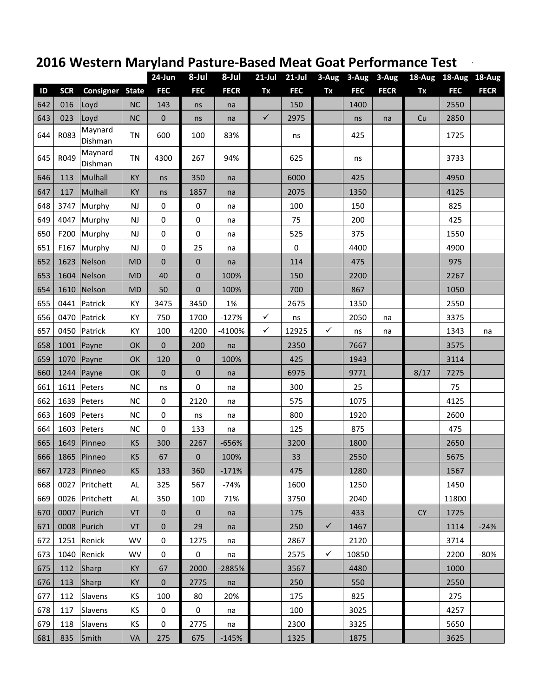## **2016 Western Maryland Pasture‐Based Meat Goat Performance Test** `

|     |            |                    |              | 24-Jun       | 8-Jul      | 8-Jul       | $21$ -Jul    | $21$ -Jul  | 3-Aug        | $3 - Aug$  | 3-Aug       | $18 - Aug$ | 18-Aug 18-Aug |             |
|-----|------------|--------------------|--------------|--------------|------------|-------------|--------------|------------|--------------|------------|-------------|------------|---------------|-------------|
| ID  | <b>SCR</b> | Consigner          | <b>State</b> | <b>FEC</b>   | <b>FEC</b> | <b>FECR</b> | Tx           | <b>FEC</b> | Tx           | <b>FEC</b> | <b>FECR</b> | Tx         | <b>FEC</b>    | <b>FECR</b> |
| 642 | 016        | Loyd               | <b>NC</b>    | 143          | ns         | na          |              | 150        |              | 1400       |             |            | 2550          |             |
| 643 | 023        | Loyd               | NC           | $\pmb{0}$    | ns         | na          | $\checkmark$ | 2975       |              | ns         | na          | Cu         | 2850          |             |
| 644 | R083       | Maynard<br>Dishman | <b>TN</b>    | 600          | 100        | 83%         |              | ns         |              | 425        |             |            | 1725          |             |
| 645 | R049       | Maynard<br>Dishman | <b>TN</b>    | 4300         | 267        | 94%         |              | 625        |              | ns         |             |            | 3733          |             |
| 646 | 113        | Mulhall            | KY           | ns           | 350        | na          |              | 6000       |              | 425        |             |            | 4950          |             |
| 647 | 117        | Mulhall            | KY           | ns           | 1857       | na          |              | 2075       |              | 1350       |             |            | 4125          |             |
| 648 | 3747       | Murphy             | <b>NJ</b>    | $\pmb{0}$    | $\pmb{0}$  | na          |              | 100        |              | 150        |             |            | 825           |             |
| 649 | 4047       | Murphy             | <b>NJ</b>    | 0            | 0          | na          |              | 75         |              | 200        |             |            | 425           |             |
| 650 | F200       | Murphy             | <b>NJ</b>    | $\pmb{0}$    | 0          | na          |              | 525        |              | 375        |             |            | 1550          |             |
| 651 | F167       | Murphy             | <b>NJ</b>    | $\pmb{0}$    | 25         | na          |              | $\pmb{0}$  |              | 4400       |             |            | 4900          |             |
| 652 | 1623       | Nelson             | <b>MD</b>    | $\mathbf{0}$ | 0          | na          |              | 114        |              | 475        |             |            | 975           |             |
| 653 |            | 1604 Nelson        | <b>MD</b>    | 40           | 0          | 100%        |              | 150        |              | 2200       |             |            | 2267          |             |
| 654 | 1610       | Nelson             | <b>MD</b>    | 50           | $\pmb{0}$  | 100%        |              | 700        |              | 867        |             |            | 1050          |             |
| 655 | 0441       | Patrick            | KY           | 3475         | 3450       | 1%          |              | 2675       |              | 1350       |             |            | 2550          |             |
| 656 | 0470       | Patrick            | KY           | 750          | 1700       | $-127%$     | $\checkmark$ | ns         |              | 2050       | na          |            | 3375          |             |
| 657 | 0450       | Patrick            | КY           | 100          | 4200       | -4100%      | $\checkmark$ | 12925      | ✓            | ns         | na          |            | 1343          | na          |
| 658 | 1001       | Payne              | OK           | $\mathbf{0}$ | 200        | na          |              | 2350       |              | 7667       |             |            | 3575          |             |
| 659 | 1070       | Payne              | OK           | 120          | $\pmb{0}$  | 100%        |              | 425        |              | 1943       |             |            | 3114          |             |
| 660 | 1244       | Payne              | OK           | $\mathbf{0}$ | $\pmb{0}$  | na          |              | 6975       |              | 9771       |             | 8/17       | 7275          |             |
| 661 | 1611       | Peters             | <b>NC</b>    | ns           | 0          | na          |              | 300        |              | 25         |             |            | 75            |             |
| 662 | 1639       | Peters             | NC           | 0            | 2120       | na          |              | 575        |              | 1075       |             |            | 4125          |             |
| 663 | 1609       | Peters             | <b>NC</b>    | 0            | ns         | na          |              | 800        |              | 1920       |             |            | 2600          |             |
| 664 | 1603       | Peters             | <b>NC</b>    | $\mathbf 0$  | 133        | na          |              | 125        |              | 875        |             |            | 475           |             |
| 665 | 1649       | Pinneo             | KS           | 300          | 2267       | $-656%$     |              | 3200       |              | 1800       |             |            | 2650          |             |
| 666 | 1865       | Pinneo             | KS           | 67           | 0          | 100%        |              | 33         |              | 2550       |             |            | 5675          |             |
| 667 |            | 1723 Pinneo        | <b>KS</b>    | 133          | 360        | $-171%$     |              | 475        |              | 1280       |             |            | 1567          |             |
| 668 |            | 0027 Pritchett     | AL           | 325          | 567        | $-74%$      |              | 1600       |              | 1250       |             |            | 1450          |             |
| 669 |            | 0026 Pritchett     | AL           | 350          | 100        | 71%         |              | 3750       |              | 2040       |             |            | 11800         |             |
| 670 | 0007       | Purich             | VT           | $\mathbf 0$  | $\pmb{0}$  | na          |              | 175        |              | 433        |             | <b>CY</b>  | 1725          |             |
| 671 |            | 0008 Purich        | VT           | $\mathbf{0}$ | 29         | na          |              | 250        | $\checkmark$ | 1467       |             |            | 1114          | $-24%$      |
| 672 |            | 1251 Renick        | <b>WV</b>    | $\mathbf 0$  | 1275       | na          |              | 2867       |              | 2120       |             |            | 3714          |             |
| 673 | 1040       | Renick             | <b>WV</b>    | 0            | $\pmb{0}$  | na          |              | 2575       | $\checkmark$ | 10850      |             |            | 2200          | $-80%$      |
| 675 | 112        | Sharp              | KY           | 67           | 2000       | -2885%      |              | 3567       |              | 4480       |             |            | 1000          |             |
| 676 | 113        | Sharp              | KY           | $\mathbf{0}$ | 2775       | na          |              | 250        |              | 550        |             |            | 2550          |             |
| 677 | 112        | Slavens            | KS           | 100          | 80         | 20%         |              | 175        |              | 825        |             |            | 275           |             |
| 678 | 117        | Slavens            | ΚS           | 0            | 0          | na          |              | 100        |              | 3025       |             |            | 4257          |             |
| 679 | 118        | Slavens            | <b>KS</b>    | 0            | 2775       | na          |              | 2300       |              | 3325       |             |            | 5650          |             |
| 681 | 835        | Smith              | VA           | 275          | 675        | $-145%$     |              | 1325       |              | 1875       |             |            | 3625          |             |